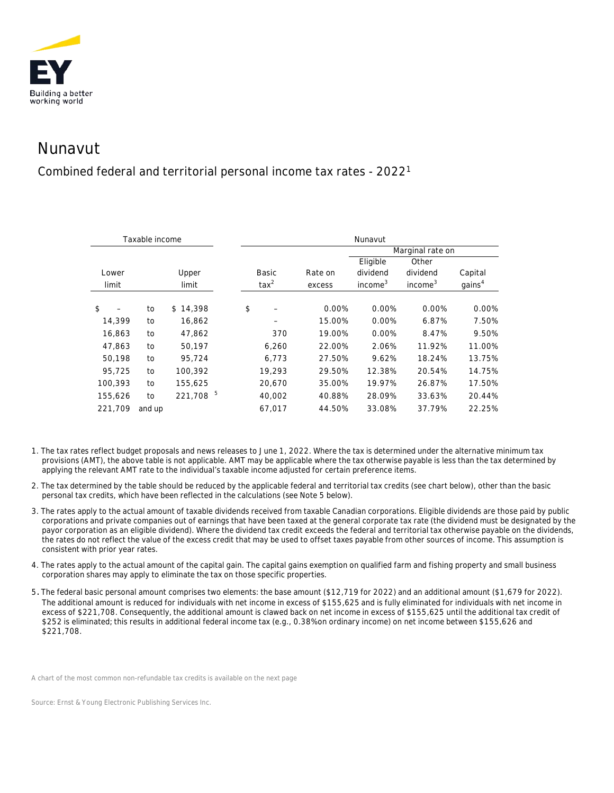

## Nunavut

## Combined federal and territorial personal income tax rates - 20221

| Taxable income |        |              | Nunavut        |         |                     |                     |                    |
|----------------|--------|--------------|----------------|---------|---------------------|---------------------|--------------------|
|                |        |              |                |         | Marginal rate on    |                     |                    |
|                |        |              |                |         | Eligible            | Other               |                    |
| Lower          |        | Upper        | <b>Basic</b>   | Rate on | dividend            | dividend            | Capital            |
| limit          |        | limit        | $\text{tax}^2$ | excess  | income <sup>3</sup> | income <sup>3</sup> | gains <sup>4</sup> |
|                |        |              |                |         |                     |                     |                    |
| \$             | to     | 14,398<br>\$ | \$             | 0.00%   | 0.00%               | 0.00%               | 0.00%              |
| 14,399         | to     | 16,862       |                | 15.00%  | 0.00%               | 6.87%               | 7.50%              |
| 16,863         | to     | 47,862       | 370            | 19.00%  | 0.00%               | 8.47%               | 9.50%              |
| 47,863         | to     | 50,197       | 6,260          | 22.00%  | 2.06%               | 11.92%              | 11.00%             |
| 50,198         | to     | 95,724       | 6,773          | 27.50%  | 9.62%               | 18.24%              | 13.75%             |
| 95,725         | to     | 100,392      | 19,293         | 29.50%  | 12.38%              | 20.54%              | 14.75%             |
| 100,393        | to     | 155,625      | 20,670         | 35.00%  | 19.97%              | 26.87%              | 17.50%             |
| 155,626        | to     | 221,708 5    | 40,002         | 40.88%  | 28.09%              | 33.63%              | 20.44%             |
| 221,709        | and up |              | 67.017         | 44.50%  | 33.08%              | 37.79%              | 22.25%             |

- 1. The tax rates reflect budget proposals and news releases to June 1, 2022. Where the tax is determined under the alternative minimum tax provisions (AMT), the above table is not applicable. AMT may be applicable where the tax otherwise payable is less than the tax determined by applying the relevant AMT rate to the individual's taxable income adjusted for certain preference items.
- 2. The tax determined by the table should be reduced by the applicable federal and territorial tax credits (see chart below), other than the basic personal tax credits, which have been reflected in the calculations (see Note 5 below).
- 3. The rates apply to the actual amount of taxable dividends received from taxable Canadian corporations. Eligible dividends are those paid by public corporations and private companies out of earnings that have been taxed at the general corporate tax rate (the dividend must be designated by the payor corporation as an eligible dividend). Where the dividend tax credit exceeds the federal and territorial tax otherwise payable on the dividends, the rates do not reflect the value of the excess credit that may be used to offset taxes payable from other sources of income. This assumption is consistent with prior year rates.
- 4. The rates apply to the actual amount of the capital gain. The capital gains exemption on qualified farm and fishing property and small business corporation shares may apply to eliminate the tax on those specific properties.
- 5. The federal basic personal amount comprises two elements: the base amount (\$12,719 for 2022) and an additional amount (\$1,679 for 2022). The additional amount is reduced for individuals with net income in excess of \$155,625 and is fully eliminated for individuals with net income in excess of \$221,708. Consequently, the additional amount is clawed back on net income in excess of \$155,625 until the additional tax credit of \$252 is eliminated; this results in additional federal income tax (e.g., 0.38% on ordinary income) on net income between \$155,626 and \$221,708.

*A chart of the most common non-refundable tax credits is available on the next page*

*Source: Ernst & Young Electronic Publishing Services Inc.*